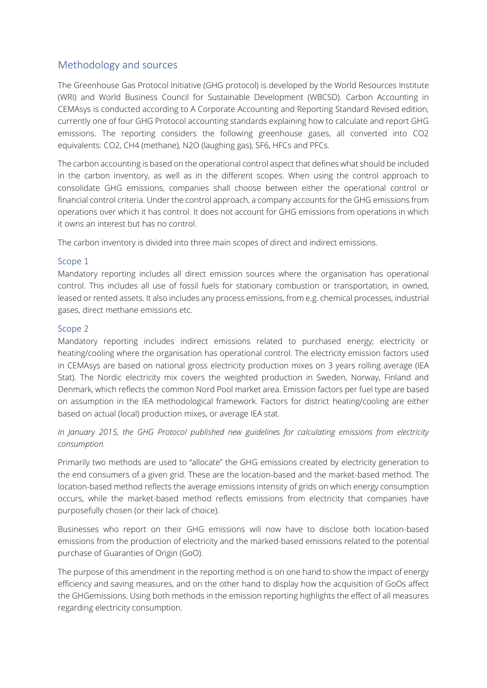# Methodology and sources

The Greenhouse Gas Protocol Initiative (GHG protocol) is developed by the World Resources Institute (WRI) and World Business Council for Sustainable Development (WBCSD). Carbon Accounting in CEMAsys is conducted according to A Corporate Accounting and Reporting Standard Revised edition, currently one of four GHG Protocol accounting standards explaining how to calculate and report GHG emissions. The reporting considers the following greenhouse gases, all converted into CO2 equivalents: CO2, CH4 (methane), N2O (laughing gas), SF6, HFCs and PFCs.

The carbon accounting is based on the operational control aspect that defines what should be included in the carbon inventory, as well as in the different scopes. When using the control approach to consolidate GHG emissions, companies shall choose between either the operational control or financial control criteria. Under the control approach, a company accounts for the GHG emissions from operations over which it has control. It does not account for GHG emissions from operations in which it owns an interest but has no control.

The carbon inventory is divided into three main scopes of direct and indirect emissions.

## Scope 1

Mandatory reporting includes all direct emission sources where the organisation has operational control. This includes all use of fossil fuels for stationary combustion or transportation, in owned, leased or rented assets. It also includes any process emissions, from e.g. chemical processes, industrial gases, direct methane emissions etc.

## Scope 2

Mandatory reporting includes indirect emissions related to purchased energy; electricity or heating/cooling where the organisation has operational control. The electricity emission factors used in CEMAsys are based on national gross electricity production mixes on 3 years rolling average (IEA Stat). The Nordic electricity mix covers the weighted production in Sweden, Norway, Finland and Denmark, which reflects the common Nord Pool market area. Emission factors per fuel type are based on assumption in the IEA methodological framework. Factors for district heating/cooling are either based on actual (local) production mixes, or average IEA stat.

*In January 2015, the GHG Protocol published new guidelines for calculating emissions from electricity consumption.* 

Primarily two methods are used to "allocate" the GHG emissions created by electricity generation to the end consumers of a given grid. These are the location-based and the market-based method. The location-based method reflects the average emissions intensity of grids on which energy consumption occurs, while the market-based method reflects emissions from electricity that companies have purposefully chosen (or their lack of choice).

Businesses who report on their GHG emissions will now have to disclose both location-based emissions from the production of electricity and the marked-based emissions related to the potential purchase of Guaranties of Origin (GoO).

The purpose of this amendment in the reporting method is on one hand to show the impact of energy efficiency and saving measures, and on the other hand to display how the acquisition of GoOs affect the GHGemissions. Using both methods in the emission reporting highlights the effect of all measures regarding electricity consumption.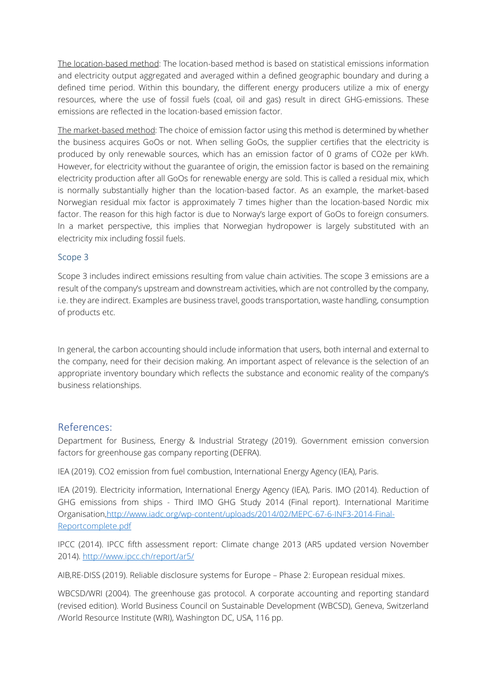The location-based method: The location-based method is based on statistical emissions information and electricity output aggregated and averaged within a defined geographic boundary and during a defined time period. Within this boundary, the different energy producers utilize a mix of energy resources, where the use of fossil fuels (coal, oil and gas) result in direct GHG-emissions. These emissions are reflected in the location-based emission factor.

The market-based method: The choice of emission factor using this method is determined by whether the business acquires GoOs or not. When selling GoOs, the supplier certifies that the electricity is produced by only renewable sources, which has an emission factor of 0 grams of CO2e per kWh. However, for electricity without the guarantee of origin, the emission factor is based on the remaining electricity production after all GoOs for renewable energy are sold. This is called a residual mix, which is normally substantially higher than the location-based factor. As an example, the market-based Norwegian residual mix factor is approximately 7 times higher than the location-based Nordic mix factor. The reason for this high factor is due to Norway's large export of GoOs to foreign consumers. In a market perspective, this implies that Norwegian hydropower is largely substituted with an electricity mix including fossil fuels.

#### Scope 3

Scope 3 includes indirect emissions resulting from value chain activities. The scope 3 emissions are a result of the company's upstream and downstream activities, which are not controlled by the company, i.e. they are indirect. Examples are business travel, goods transportation, waste handling, consumption of products etc.

In general, the carbon accounting should include information that users, both internal and external to the company, need for their decision making. An important aspect of relevance is the selection of an appropriate inventory boundary which reflects the substance and economic reality of the company's business relationships.

#### References:

Department for Business, Energy & Industrial Strategy (2019). Government emission conversion factors for greenhouse gas company reporting (DEFRA).

IEA (2019). CO2 emission from fuel combustion, International Energy Agency (IEA), Paris.

IEA (2019). Electricity information, International Energy Agency (IEA), Paris. IMO (2014). Reduction of GHG emissions from ships - Third IMO GHG Study 2014 (Final report). International Maritime Organisatio[n,http://www.iadc.org/wp-content/uploads/2014/02/MEPC-67-6-INF3-2014-Final-](http://www.iadc.org/wp-content/uploads/2014/02/MEPC-67-6-INF3-2014-Final-Reportcomplete.pdf)[Reportcomplete.pdf](http://www.iadc.org/wp-content/uploads/2014/02/MEPC-67-6-INF3-2014-Final-Reportcomplete.pdf)

IPCC (2014). IPCC fifth assessment report: Climate change 2013 (AR5 updated version November 2014).<http://www.ipcc.ch/report/ar5/>

AIB,RE-DISS (2019). Reliable disclosure systems for Europe – Phase 2: European residual mixes.

WBCSD/WRI (2004). The greenhouse gas protocol. A corporate accounting and reporting standard (revised edition). World Business Council on Sustainable Development (WBCSD), Geneva, Switzerland /World Resource Institute (WRI), Washington DC, USA, 116 pp.